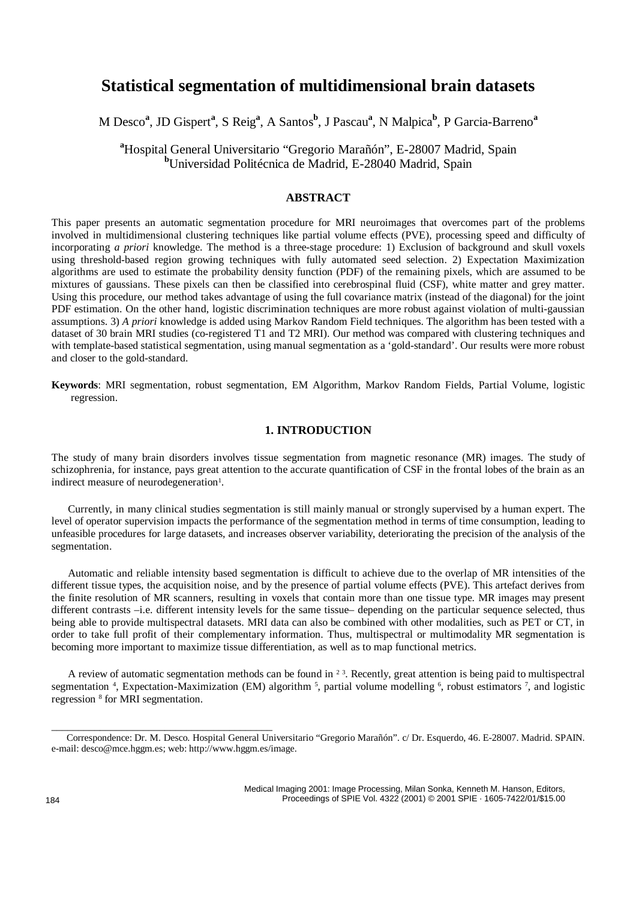# **Statistical segmentation of multidimensional brain datasets**

M Desco**<sup>a</sup>** , JD Gispert**<sup>a</sup>** , S Reig**<sup>a</sup>** , A Santos**<sup>b</sup>** , J Pascau**<sup>a</sup>** , N Malpica**<sup>b</sup>** , P Garcia-Barreno**<sup>a</sup>**

**a** Hospital General Universitario "Gregorio Marañón", E-28007 Madrid, Spain **b** Universidad Politécnica de Madrid, E-28040 Madrid, Spain

# **ABSTRACT**

This paper presents an automatic segmentation procedure for MRI neuroimages that overcomes part of the problems involved in multidimensional clustering techniques like partial volume effects (PVE), processing speed and difficulty of incorporating *a priori* knowledge. The method is a three-stage procedure: 1) Exclusion of background and skull voxels using threshold-based region growing techniques with fully automated seed selection. 2) Expectation Maximization algorithms are used to estimate the probability density function (PDF) of the remaining pixels, which are assumed to be mixtures of gaussians. These pixels can then be classified into cerebrospinal fluid (CSF), white matter and grey matter. Using this procedure, our method takes advantage of using the full covariance matrix (instead of the diagonal) for the joint PDF estimation. On the other hand, logistic discrimination techniques are more robust against violation of multi-gaussian assumptions. 3) *A priori* knowledge is added using Markov Random Field techniques. The algorithm has been tested with a dataset of 30 brain MRI studies (co-registered T1 and T2 MRI). Our method was compared with clustering techniques and with template-based statistical segmentation, using manual segmentation as a 'gold-standard'. Our results were more robust and closer to the gold-standard.

**Keywords**: MRI segmentation, robust segmentation, EM Algorithm, Markov Random Fields, Partial Volume, logistic regression.

# **1. INTRODUCTION**

The study of many brain disorders involves tissue segmentation from magnetic resonance (MR) images. The study of schizophrenia, for instance, pays great attention to the accurate quantification of CSF in the frontal lobes of the brain as an indirect measure of neurodegeneration<sup>1</sup>.

Currently, in many clinical studies segmentation is still mainly manual or strongly supervised by a human expert. The level of operator supervision impacts the performance of the segmentation method in terms of time consumption, leading to unfeasible procedures for large datasets, and increases observer variability, deteriorating the precision of the analysis of the segmentation.

Automatic and reliable intensity based segmentation is difficult to achieve due to the overlap of MR intensities of the different tissue types, the acquisition noise, and by the presence of partial volume effects (PVE). This artefact derives from the finite resolution of MR scanners, resulting in voxels that contain more than one tissue type. MR images may present different contrasts –i.e. different intensity levels for the same tissue– depending on the particular sequence selected, thus being able to provide multispectral datasets. MRI data can also be combined with other modalities, such as PET or CT, in order to take full profit of their complementary information. Thus, multispectral or multimodality MR segmentation is becoming more important to maximize tissue differentiation, as well as to map functional metrics.

A review of automatic segmentation methods can be found in  $2<sup>3</sup>$ . Recently, great attention is being paid to multispectral segmentation <sup>4</sup>, Expectation-Maximization (EM) algorithm <sup>5</sup>, partial volume modelling <sup>6</sup>, robust estimators <sup>7</sup>, and logistic regression <sup>8</sup> for MRI segmentation.

\_\_\_\_\_\_\_\_\_\_\_\_\_\_\_\_\_\_\_\_\_\_\_\_\_\_\_\_\_\_\_\_\_\_\_\_\_\_\_\_\_

Correspondence: Dr. M. Desco. Hospital General Universitario "Gregorio Marañón". c/ Dr. Esquerdo, 46. E-28007. Madrid. SPAIN. e-mail: desco@mce.hggm.es; web: http://www.hggm.es/image.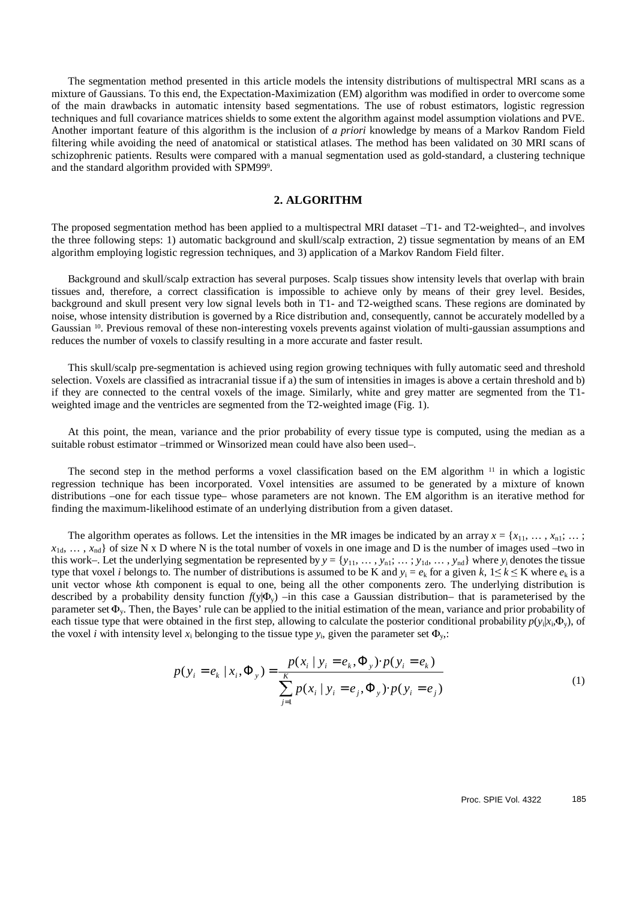The segmentation method presented in this article models the intensity distributions of multispectral MRI scans as a mixture of Gaussians. To this end, the Expectation-Maximization (EM) algorithm was modified in order to overcome some of the main drawbacks in automatic intensity based segmentations. The use of robust estimators, logistic regression techniques and full covariance matrices shields to some extent the algorithm against model assumption violations and PVE. Another important feature of this algorithm is the inclusion of *a priori* knowledge by means of a Markov Random Field filtering while avoiding the need of anatomical or statistical atlases. The method has been validated on 30 MRI scans of schizophrenic patients. Results were compared with a manual segmentation used as gold-standard, a clustering technique and the standard algorithm provided with SPM999.

### **2. ALGORITHM**

The proposed segmentation method has been applied to a multispectral MRI dataset –T1- and T2-weighted–, and involves the three following steps: 1) automatic background and skull/scalp extraction, 2) tissue segmentation by means of an EM algorithm employing logistic regression techniques, and 3) application of a Markov Random Field filter.

Background and skull/scalp extraction has several purposes. Scalp tissues show intensity levels that overlap with brain tissues and, therefore, a correct classification is impossible to achieve only by means of their grey level. Besides, background and skull present very low signal levels both in T1- and T2-weigthed scans. These regions are dominated by noise, whose intensity distribution is governed by a Rice distribution and, consequently, cannot be accurately modelled by a Gaussian <sup>10</sup>. Previous removal of these non-interesting voxels prevents against violation of multi-gaussian assumptions and reduces the number of voxels to classify resulting in a more accurate and faster result.

This skull/scalp pre-segmentation is achieved using region growing techniques with fully automatic seed and threshold selection. Voxels are classified as intracranial tissue if a) the sum of intensities in images is above a certain threshold and b) if they are connected to the central voxels of the image. Similarly, white and grey matter are segmented from the T1 weighted image and the ventricles are segmented from the T2-weighted image (Fig. 1).

At this point, the mean, variance and the prior probability of every tissue type is computed, using the median as a suitable robust estimator –trimmed or Winsorized mean could have also been used–.

The second step in the method performs a voxel classification based on the EM algorithm <sup>11</sup> in which a logistic regression technique has been incorporated. Voxel intensities are assumed to be generated by a mixture of known distributions –one for each tissue type– whose parameters are not known. The EM algorithm is an iterative method for finding the maximum-likelihood estimate of an underlying distribution from a given dataset.

The algorithm operates as follows. Let the intensities in the MR images be indicated by an array  $x = \{x_{11}, \ldots, x_{n1}; \ldots; x_{n1} \}$  $x_{1d}$ ,  $\ldots$ ,  $x_{nd}$  of size N x D where N is the total number of voxels in one image and D is the number of images used –two in this work–. Let the underlying segmentation be represented by  $y = \{y_{11}, \ldots, y_{n1}; \ldots; y_{1d}, \ldots, y_{nd}\}$  where  $y_i$  denotes the tissue type that voxel *i* belongs to. The number of distributions is assumed to be K and  $y_i = e_k$  for a given  $k$ ,  $1 \le k \le K$  where  $e_k$  is a unit vector whose *k*th component is equal to one, being all the other components zero. The underlying distribution is described by a probability density function  $f(y|\Phi_y)$  –in this case a Gaussian distribution– that is parameterised by the parameterised by the parameterised by the parameterised by the parameterised by the parameterised  $\$ parameter set  $\Phi_y$ . Then, the Bayes' rule can be applied to the initial estimation of the mean, variance and prior probability of  $\Phi_y$ . each tissue type that were obtained in the first step, allowing to calculate the posterior conditional probability  $p(y_i|x_i, \Phi_y)$ , of the voxel i with intensity level x belonging to the tissue type y, given the perspector s the voxel *i* with intensity level  $x_i$  belonging to the tissue type  $y_i$ , given the parameter set  $\Phi_y$ .

$$
p(y_i = e_k | x_i, \Phi_y) = \frac{p(x_i | y_i = e_k, \Phi_y) \cdot p(y_i = e_k)}{\sum_{j=1}^{K} p(x_i | y_i = e_j, \Phi_y) \cdot p(y_i = e_j)}
$$
(1)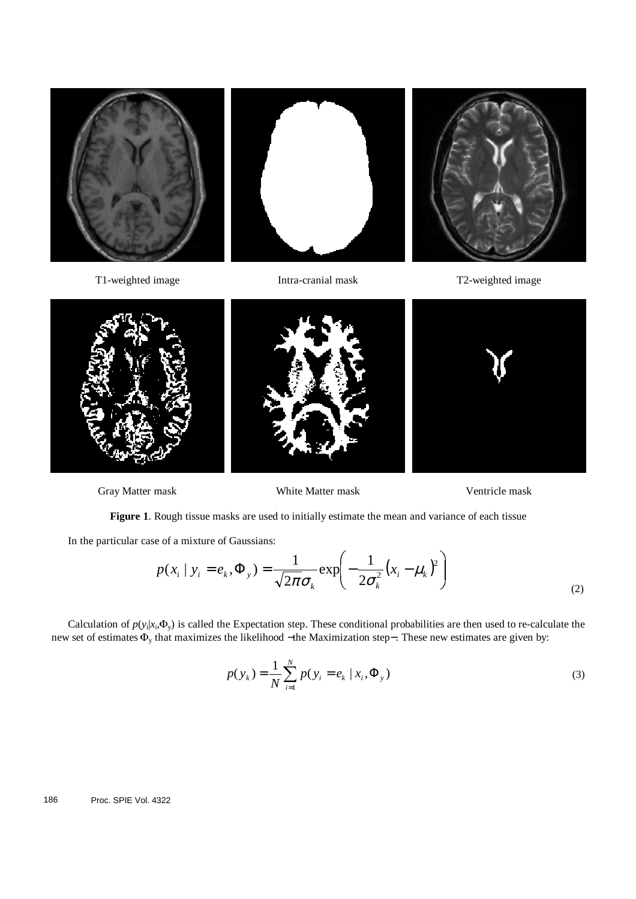



T1-weighted image Intra-cranial mask T2-weighted image





Gray Matter mask White Matter mask Ventricle mask

**Figure 1**. Rough tissue masks are used to initially estimate the mean and variance of each tissue

In the particular case of a mixture of Gaussians:

$$
p(x_i \mid y_i = e_k, \Phi_y) = \frac{1}{\sqrt{2\pi}\sigma_k} \exp\left(-\frac{1}{2\sigma_k^2} (x_i - \mu_k)^2\right)
$$
\n(2)

Calculation of  $p(y_i|x_i, \Phi_y)$  is called the Expectation step. These conditional probabilities are then used to re-calculate the new set of estimates  $\Phi_y$  that maximizes the likelihood –the Maximization step–. These new estimates are given by:

$$
p(y_k) = \frac{1}{N} \sum_{i=1}^{N} p(y_i = e_k | x_i, \Phi_y)
$$
 (3)

#### 186 Proc. SPIE Vol. 4322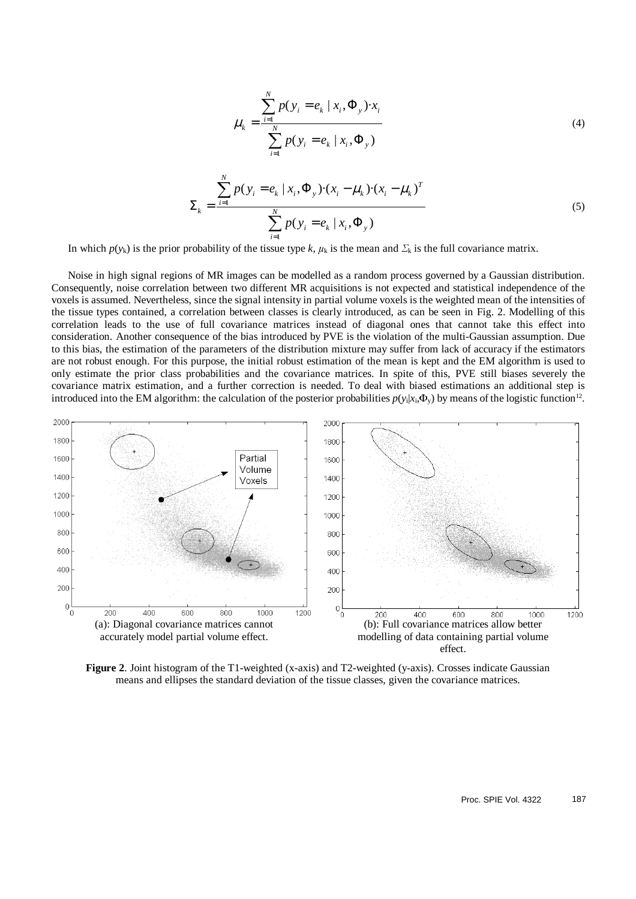$$
\mu_k = \frac{\sum_{i=1}^N p(y_i = e_k \mid x_i, \Phi_y) \cdot x_i}{\sum_{i=1}^N p(y_i = e_k \mid x_i, \Phi_y)}
$$
\n(4)

$$
\Sigma_k = \frac{\sum_{i=1}^N p(y_i = e_k | x_i, \Phi_y) \cdot (x_i - \mu_k) (x_i - \mu_k)^T}{\sum_{i=1}^N p(y_i = e_k | x_i, \Phi_y)}
$$
\n(5)

In which  $p(y_k)$  is the prior probability of the tissue type  $k$ ,  $\mu_k$  is the mean and  $\Sigma_k$  is the full covariance matrix.

Noise in high signal regions of MR images can be modelled as a random process governed by a Gaussian distribution. Consequently, noise correlation between two different MR acquisitions is not expected and statistical independence of the voxels is assumed. Nevertheless, since the signal intensity in partial volume voxels is the weighted mean of the intensities of the tissue types contained, a correlation between classes is clearly introduced, as can be seen in Fig. 2. Modelling of this correlation leads to the use of full covariance matrices instead of diagonal ones that cannot take this effect into consideration. Another consequence of the bias introduced by PVE is the violation of the multi-Gaussian assumption. Due to this bias, the estimation of the parameters of the distribution mixture may suffer from lack of accuracy if the estimators are not robust enough. For this purpose, the initial robust estimation of the mean is kept and the EM algorithm is used to only estimate the prior class probabilities and the covariance matrices. In spite of this, PVE still biases severely the covariance matrix estimation, and a further correction is needed. To deal with biased estimations an additional step is introduced into the EM algorithm: the calculation of the posterior probabilities  $p(y_i|x_i, \Phi_y)$  by means of the logistic function<sup>12</sup>.



**Figure 2**. Joint histogram of the T1-weighted (x-axis) and T2-weighted (y-axis). Crosses indicate Gaussian means and ellipses the standard deviation of the tissue classes, given the covariance matrices.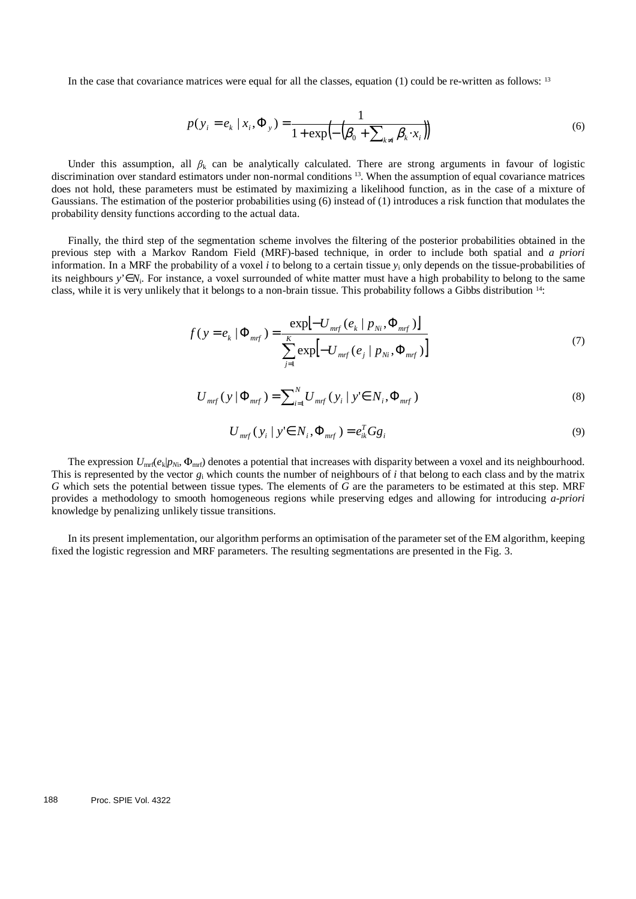In the case that covariance matrices were equal for all the classes, equation (1) could be re-written as follows: <sup>13</sup>

$$
p(y_i = e_k | x_i, \Phi_y) = \frac{1}{1 + \exp(-(\beta_0 + \sum_{k \neq i} \beta_k \cdot x_i))}
$$
(6)

Under this assumption, all  $\beta_k$  can be analytically calculated. There are strong arguments in favour of logistic discrimination over standard estimators under non-normal conditions 13. When the assumption of equal covariance matrices does not hold, these parameters must be estimated by maximizing a likelihood function, as in the case of a mixture of Gaussians. The estimation of the posterior probabilities using (6) instead of (1) introduces a risk function that modulates the probability density functions according to the actual data.

Finally, the third step of the segmentation scheme involves the filtering of the posterior probabilities obtained in the previous step with a Markov Random Field (MRF)-based technique, in order to include both spatial and *a priori* information. In a MRF the probability of a voxel *i* to belong to a certain tissue *y*<sup>i</sup> only depends on the tissue-probabilities of its neighbours *y*'∈*N*i. For instance, a voxel surrounded of white matter must have a high probability to belong to the same class, while it is very unlikely that it belongs to a non-brain tissue. This probability follows a Gibbs distribution 14:

$$
f(y = e_k | \Phi_{mrf}) = \frac{\exp[-U_{mrf}(e_k | p_{Ni}, \Phi_{mrf})]}{\sum_{j=1}^{K} \exp[-U_{mrf}(e_j | p_{Ni}, \Phi_{mrf})]}
$$
(7)

$$
U_{\text{mrf}}(y | \Phi_{\text{mrf}}) = \sum_{i=1}^{N} U_{\text{mrf}}(y_i | y' \in N_i, \Phi_{\text{mrf}})
$$
\n(8)

$$
U_{\text{mrf}}(y_i \mid y' \in N_i, \Phi_{\text{mrf}}) = e_{ik}^T G g_i
$$
\n<sup>(9)</sup>

The expression  $U_{\text{mrf}}(e_k|p_{Ni}, \Phi_{\text{mrf}})$  denotes a potential that increases with disparity between a voxel and its neighbourhood.<br>S is represented by the vector  $a$ , which counts the number of neighbours of *i* that b This is represented by the vector *g*<sup>i</sup> which counts the number of neighbours of *i* that belong to each class and by the matrix *G* which sets the potential between tissue types. The elements of *G* are the parameters to be estimated at this step. MRF provides a methodology to smooth homogeneous regions while preserving edges and allowing for introducing *a-priori* knowledge by penalizing unlikely tissue transitions.

In its present implementation, our algorithm performs an optimisation of the parameter set of the EM algorithm, keeping fixed the logistic regression and MRF parameters. The resulting segmentations are presented in the Fig. 3.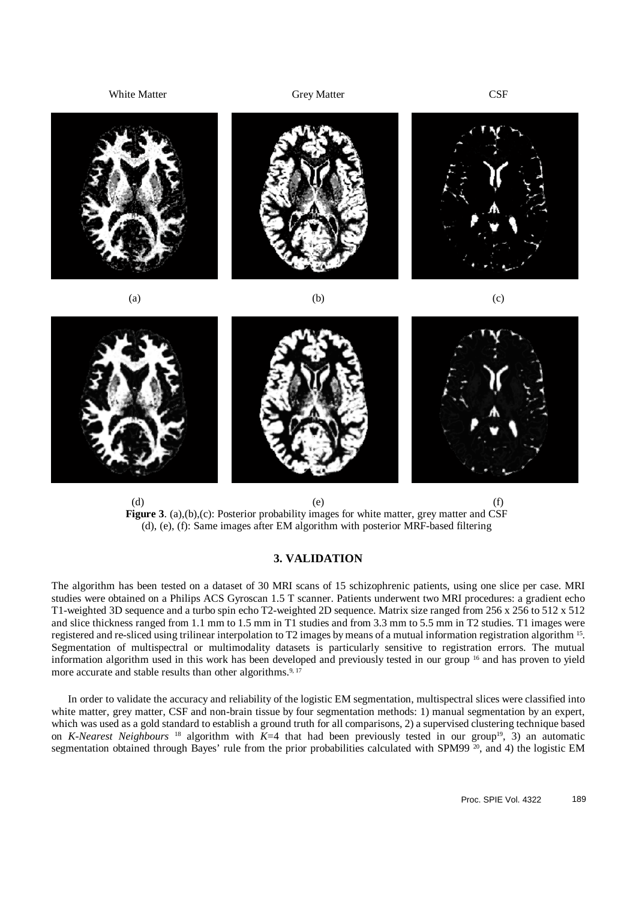

(d)  $(e)$  (f) **Figure 3**. (a),(b),(c): Posterior probability images for white matter, grey matter and CSF (d), (e), (f): Same images after EM algorithm with posterior MRF-based filtering

## **3. VALIDATION**

The algorithm has been tested on a dataset of 30 MRI scans of 15 schizophrenic patients, using one slice per case. MRI studies were obtained on a Philips ACS Gyroscan 1.5 T scanner. Patients underwent two MRI procedures: a gradient echo T1-weighted 3D sequence and a turbo spin echo T2-weighted 2D sequence. Matrix size ranged from 256 x 256 to 512 x 512 and slice thickness ranged from 1.1 mm to 1.5 mm in T1 studies and from 3.3 mm to 5.5 mm in T2 studies. T1 images were registered and re-sliced using trilinear interpolation to T2 images by means of a mutual information registration algorithm 15. Segmentation of multispectral or multimodality datasets is particularly sensitive to registration errors. The mutual information algorithm used in this work has been developed and previously tested in our group <sup>16</sup> and has proven to yield more accurate and stable results than other algorithms.<sup>9, 17</sup>

In order to validate the accuracy and reliability of the logistic EM segmentation, multispectral slices were classified into white matter, grey matter, CSF and non-brain tissue by four segmentation methods: 1) manual segmentation by an expert, which was used as a gold standard to establish a ground truth for all comparisons, 2) a supervised clustering technique based on *K-Nearest Neighbours* <sup>18</sup> algorithm with *K*=4 that had been previously tested in our group19, 3) an automatic segmentation obtained through Bayes' rule from the prior probabilities calculated with SPM99 <sup>20</sup>, and 4) the logistic EM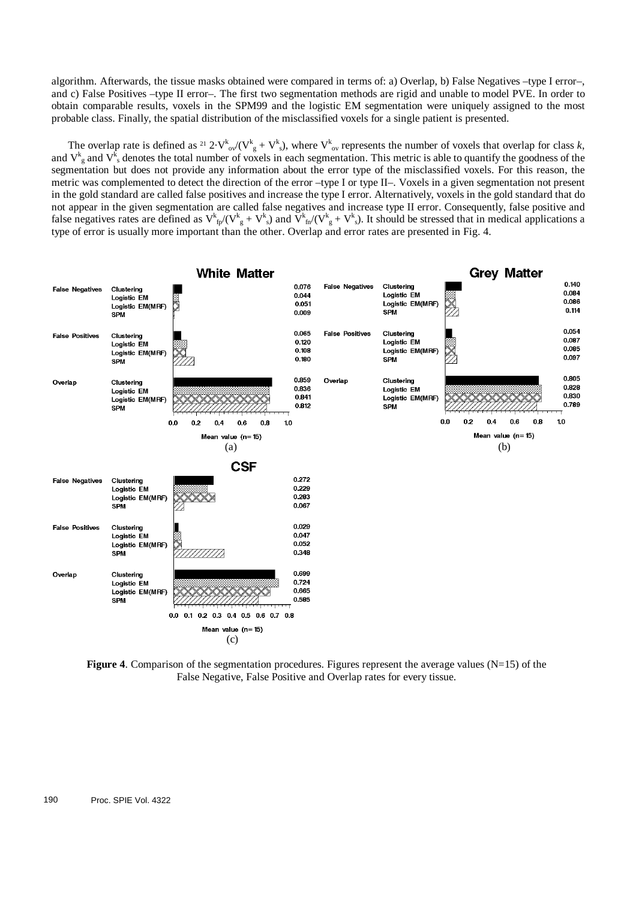algorithm. Afterwards, the tissue masks obtained were compared in terms of: a) Overlap, b) False Negatives –type I error–, and c) False Positives –type II error–. The first two segmentation methods are rigid and unable to model PVE. In order to obtain comparable results, voxels in the SPM99 and the logistic EM segmentation were uniquely assigned to the most probable class. Finally, the spatial distribution of the misclassified voxels for a single patient is presented.

The overlap rate is defined as <sup>21</sup> 2·V<sup>k</sup><sub>ov</sub>/(V<sup>k</sup><sub>g</sub> + V<sup>k</sup><sub>s</sub>), where V<sup>k</sup><sub>ov</sub> represents the number of voxels that overlap for class *k*, and  $V_{g}^{k}$  and  $V_{g}^{k}$  denotes the total number of voxels in each segmentation. This metric is able to quantify the goodness of the segmentation but does not provide any information about the error type of the misclassified voxels. For this reason, the metric was complemented to detect the direction of the error –type I or type II–. Voxels in a given segmentation not present in the gold standard are called false positives and increase the type I error. Alternatively, voxels in the gold standard that do not appear in the given segmentation are called false negatives and increase type II error. Consequently, false positive and false negatives rates are defined as  $V_{fp}^k/(V_{g}^k + V_{s}^k)$  and  $V_{fn}^k/(V_{g}^k + V_{s}^k)$ . It should be stressed that in medical applications a type of error is usually more important than the other. Overlap and error rates are presented in Fig. 4.



**Figure 4.** Comparison of the segmentation procedures. Figures represent the average values  $(N=15)$  of the False Negative, False Positive and Overlap rates for every tissue.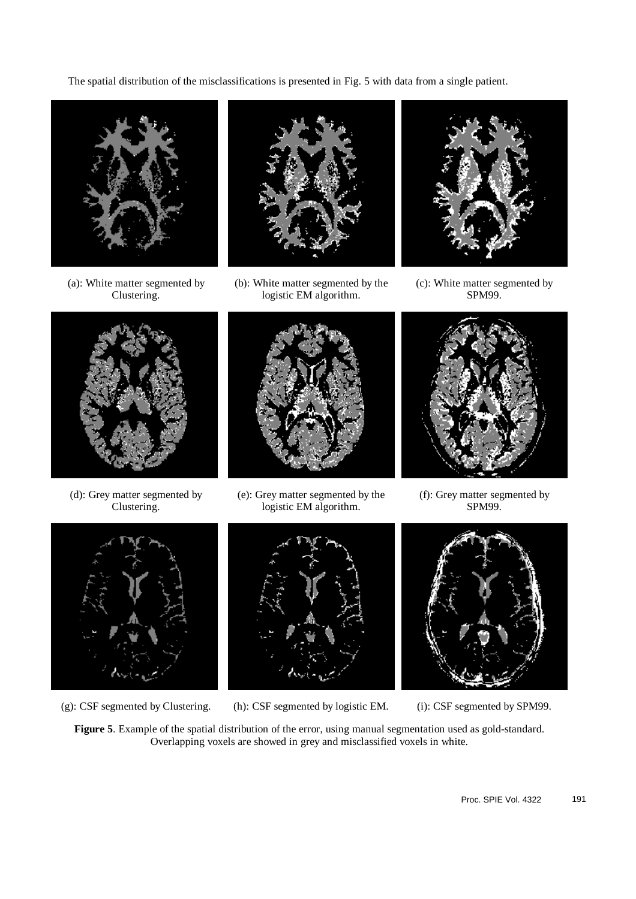The spatial distribution of the misclassifications is presented in Fig. 5 with data from a single patient.



(a): White matter segmented by Clustering.



(b): White matter segmented by the logistic EM algorithm.



(c): White matter segmented by SPM99.



(d): Grey matter segmented by Clustering.



(e): Grey matter segmented by the logistic EM algorithm.



(f): Grey matter segmented by SPM99.





(g): CSF segmented by Clustering. (h): CSF segmented by logistic EM. (i): CSF segmented by SPM99.



**Figure 5**. Example of the spatial distribution of the error, using manual segmentation used as gold-standard. Overlapping voxels are showed in grey and misclassified voxels in white.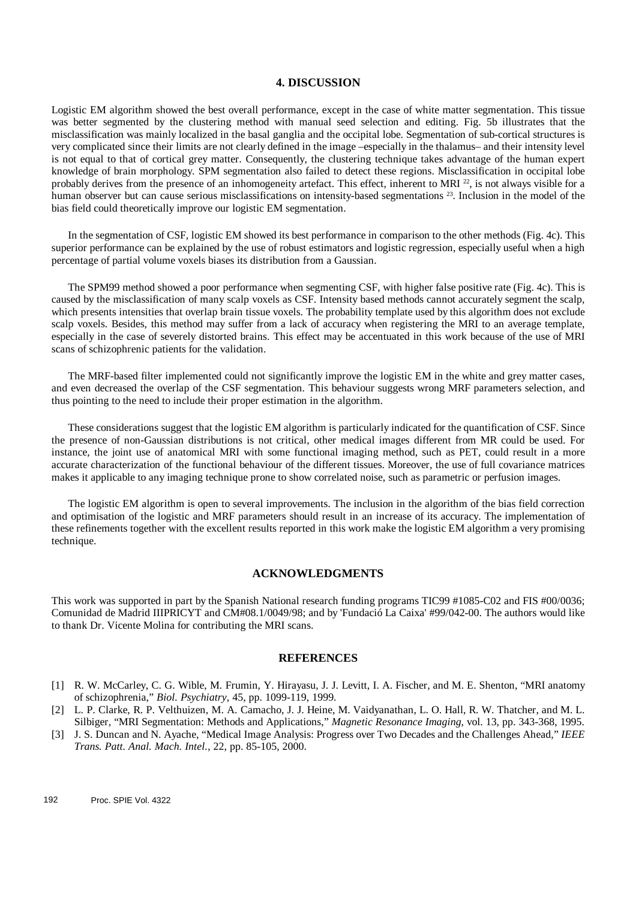#### **4. DISCUSSION**

Logistic EM algorithm showed the best overall performance, except in the case of white matter segmentation. This tissue was better segmented by the clustering method with manual seed selection and editing. Fig. 5b illustrates that the misclassification was mainly localized in the basal ganglia and the occipital lobe. Segmentation of sub-cortical structures is very complicated since their limits are not clearly defined in the image –especially in the thalamus– and their intensity level is not equal to that of cortical grey matter. Consequently, the clustering technique takes advantage of the human expert knowledge of brain morphology. SPM segmentation also failed to detect these regions. Misclassification in occipital lobe probably derives from the presence of an inhomogeneity artefact. This effect, inherent to MRI  $^{22}$ , is not always visible for a human observer but can cause serious misclassifications on intensity-based segmentations 23. Inclusion in the model of the bias field could theoretically improve our logistic EM segmentation.

In the segmentation of CSF, logistic EM showed its best performance in comparison to the other methods (Fig. 4c). This superior performance can be explained by the use of robust estimators and logistic regression, especially useful when a high percentage of partial volume voxels biases its distribution from a Gaussian.

The SPM99 method showed a poor performance when segmenting CSF, with higher false positive rate (Fig. 4c). This is caused by the misclassification of many scalp voxels as CSF. Intensity based methods cannot accurately segment the scalp, which presents intensities that overlap brain tissue voxels. The probability template used by this algorithm does not exclude scalp voxels. Besides, this method may suffer from a lack of accuracy when registering the MRI to an average template, especially in the case of severely distorted brains. This effect may be accentuated in this work because of the use of MRI scans of schizophrenic patients for the validation.

The MRF-based filter implemented could not significantly improve the logistic EM in the white and grey matter cases, and even decreased the overlap of the CSF segmentation. This behaviour suggests wrong MRF parameters selection, and thus pointing to the need to include their proper estimation in the algorithm.

These considerations suggest that the logistic EM algorithm is particularly indicated for the quantification of CSF. Since the presence of non-Gaussian distributions is not critical, other medical images different from MR could be used. For instance, the joint use of anatomical MRI with some functional imaging method, such as PET, could result in a more accurate characterization of the functional behaviour of the different tissues. Moreover, the use of full covariance matrices makes it applicable to any imaging technique prone to show correlated noise, such as parametric or perfusion images.

The logistic EM algorithm is open to several improvements. The inclusion in the algorithm of the bias field correction and optimisation of the logistic and MRF parameters should result in an increase of its accuracy. The implementation of these refinements together with the excellent results reported in this work make the logistic EM algorithm a very promising technique.

#### **ACKNOWLEDGMENTS**

This work was supported in part by the Spanish National research funding programs TIC99 #1085-C02 and FIS #00/0036; Comunidad de Madrid IIIPRICYT and CM#08.1/0049/98; and by 'Fundació La Caixa' #99/042-00. The authors would like to thank Dr. Vicente Molina for contributing the MRI scans.

#### **REFERENCES**

- [1] R. W. McCarley, C. G. Wible, M. Frumin, Y. Hirayasu, J. J. Levitt, I. A. Fischer, and M. E. Shenton, "MRI anatomy of schizophrenia," *Biol. Psychiatry*, 45, pp. 1099-119, 1999.
- [2] L. P. Clarke, R. P. Velthuizen, M. A. Camacho, J. J. Heine, M. Vaidyanathan, L. O. Hall, R. W. Thatcher, and M. L. Silbiger, "MRI Segmentation: Methods and Applications," *Magnetic Resonance Imaging*, vol. 13, pp. 343-368, 1995.
- [3] J. S. Duncan and N. Ayache, "Medical Image Analysis: Progress over Two Decades and the Challenges Ahead," *IEEE Trans. Patt. Anal. Mach. Intel.*, 22, pp. 85-105, 2000.